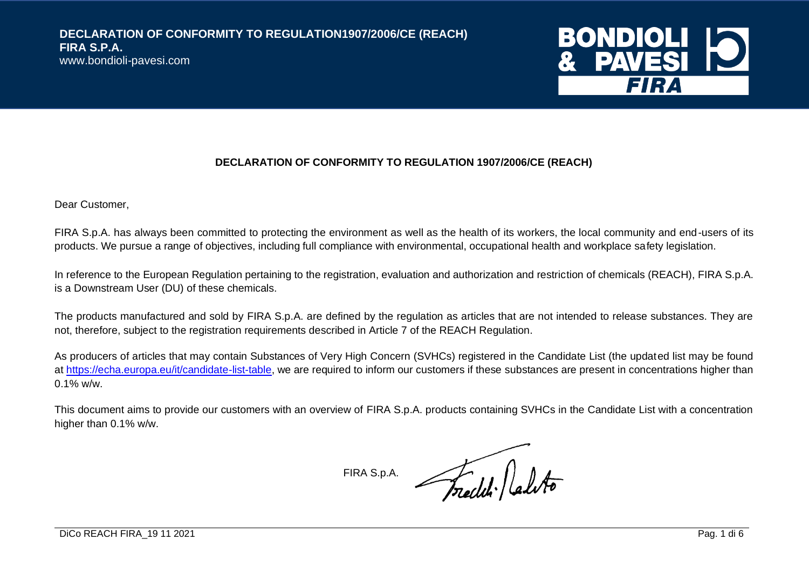

#### **DECLARATION OF CONFORMITY TO REGULATION 1907/2006/CE (REACH)**

Dear Customer,

FIRA S.p.A. has always been committed to protecting the environment as well as the health of its workers, the local community and end-users of its products. We pursue a range of objectives, including full compliance with environmental, occupational health and workplace safety legislation.

In reference to the European Regulation pertaining to the registration, evaluation and authorization and restriction of chemicals (REACH), FIRA S.p.A. is a Downstream User (DU) of these chemicals.

The products manufactured and sold by FIRA S.p.A. are defined by the regulation as articles that are not intended to release substances. They are not, therefore, subject to the registration requirements described in Article 7 of the REACH Regulation.

As producers of articles that may contain Substances of Very High Concern (SVHCs) registered in the Candidate List (the updated list may be found at [https://echa.europa.eu/it/candidate-list-table,](https://echa.europa.eu/it/candidate-list-table) we are required to inform our customers if these substances are present in concentrations higher than 0.1% w/w.

This document aims to provide our customers with an overview of FIRA S.p.A. products containing SVHCs in the Candidate List with a concentration higher than 0.1% w/w.

FIRA S.p.A.

Freeld labto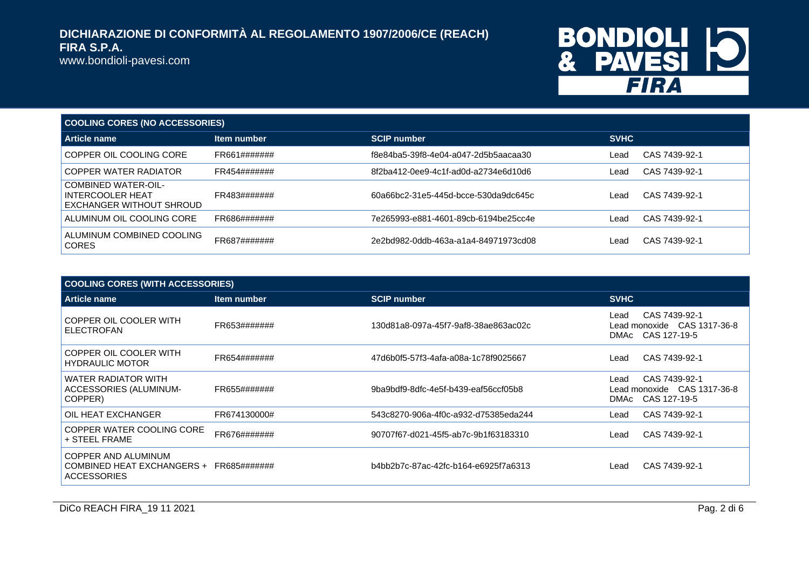www.bondioli-pavesi.com

# BONDIOLI 10<br>& PAVESI 10

| <b>COOLING CORES (NO ACCESSORIES)</b>                                             |              |                                      |             |               |  |
|-----------------------------------------------------------------------------------|--------------|--------------------------------------|-------------|---------------|--|
| Article name                                                                      | Item number  | <b>SCIP number</b>                   | <b>SVHC</b> |               |  |
| COPPER OIL COOLING CORE                                                           | FR661####### | f8e84ba5-39f8-4e04-a047-2d5b5aacaa30 | Lead        | CAS 7439-92-1 |  |
| COPPER WATER RADIATOR                                                             | FR454####### | 8f2ba412-0ee9-4c1f-ad0d-a2734e6d10d6 | Lead        | CAS 7439-92-1 |  |
| <b>COMBINED WATER-OIL-</b><br><b>INTERCOOLER HEAT</b><br>EXCHANGER WITHOUT SHROUD | FR483####### | 60a66bc2-31e5-445d-bcce-530da9dc645c | Lead        | CAS 7439-92-1 |  |
| ALUMINUM OIL COOLING CORE                                                         | FR686####### | 7e265993-e881-4601-89cb-6194be25cc4e | Lead        | CAS 7439-92-1 |  |
| ALUMINUM COMBINED COOLING<br><b>CORES</b>                                         | FR687####### | 2e2bd982-0ddb-463a-a1a4-84971973cd08 | Lead        | CAS 7439-92-1 |  |

| <b>COOLING CORES (WITH ACCESSORIES)</b>                                              |              |                                      |                                                                           |  |
|--------------------------------------------------------------------------------------|--------------|--------------------------------------|---------------------------------------------------------------------------|--|
| <b>Article name</b>                                                                  | Item number  | <b>SCIP number</b>                   | <b>SVHC</b>                                                               |  |
| COPPER OIL COOLER WITH<br><b>ELECTROFAN</b>                                          | FR653####### | 130d81a8-097a-45f7-9af8-38ae863ac02c | CAS 7439-92-1<br>Lead<br>Lead monoxide CAS 1317-36-8<br>DMAc CAS 127-19-5 |  |
| COPPER OIL COOLER WITH<br><b>HYDRAULIC MOTOR</b>                                     | FR654####### | 47d6b0f5-57f3-4afa-a08a-1c78f9025667 | CAS 7439-92-1<br>Lead                                                     |  |
| <b>WATER RADIATOR WITH</b><br>ACCESSORIES (ALUMINUM-<br>COPPER)                      | FR655####### | 9ba9bdf9-8dfc-4e5f-b439-eaf56ccf05b8 | CAS 7439-92-1<br>Lead<br>Lead monoxide CAS 1317-36-8<br>DMAc CAS 127-19-5 |  |
| OIL HEAT EXCHANGER                                                                   | FR674130000# | 543c8270-906a-4f0c-a932-d75385eda244 | CAS 7439-92-1<br>Lead                                                     |  |
| COPPER WATER COOLING CORE<br>+ STEEL FRAME                                           | FR676####### | 90707f67-d021-45f5-ab7c-9b1f63183310 | CAS 7439-92-1<br>Lead                                                     |  |
| COPPER AND ALUMINUM<br>COMBINED HEAT EXCHANGERS + FR685#######<br><b>ACCESSORIES</b> |              | b4bb2b7c-87ac-42fc-b164-e6925f7a6313 | CAS 7439-92-1<br>Lead                                                     |  |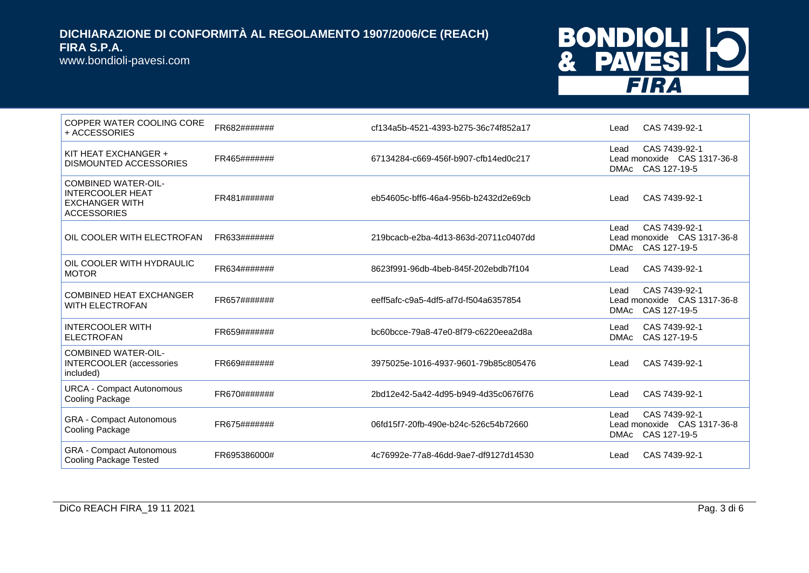www.bondioli-pavesi.com

# BONDIOLI 10<br>& PAVESI 10

| COPPER WATER COOLING CORE<br>+ ACCESSORIES                                                           | FR682####### | cf134a5b-4521-4393-b275-36c74f852a17 | CAS 7439-92-1<br>Lead                                                               |
|------------------------------------------------------------------------------------------------------|--------------|--------------------------------------|-------------------------------------------------------------------------------------|
| KIT HEAT EXCHANGER +<br>DISMOUNTED ACCESSORIES                                                       | FR465####### | 67134284-c669-456f-b907-cfb14ed0c217 | CAS 7439-92-1<br>Lead<br>Lead monoxide CAS 1317-36-8<br>CAS 127-19-5<br><b>DMAc</b> |
| <b>COMBINED WATER-OIL-</b><br><b>INTERCOOLER HEAT</b><br><b>EXCHANGER WITH</b><br><b>ACCESSORIES</b> | FR481####### | eb54605c-bff6-46a4-956b-b2432d2e69cb | CAS 7439-92-1<br>Lead                                                               |
| OIL COOLER WITH ELECTROFAN                                                                           | FR633####### | 219bcacb-e2ba-4d13-863d-20711c0407dd | CAS 7439-92-1<br>Lead<br>Lead monoxide CAS 1317-36-8<br>CAS 127-19-5<br><b>DMAc</b> |
| OIL COOLER WITH HYDRAULIC<br><b>MOTOR</b>                                                            | FR634####### | 8623f991-96db-4beb-845f-202ebdb7f104 | CAS 7439-92-1<br>Lead                                                               |
| <b>COMBINED HEAT EXCHANGER</b><br><b>WITH ELECTROFAN</b>                                             | FR657####### | eeff5afc-c9a5-4df5-af7d-f504a6357854 | CAS 7439-92-1<br>Lead<br>Lead monoxide CAS 1317-36-8<br>CAS 127-19-5<br><b>DMAc</b> |
| <b>INTERCOOLER WITH</b><br><b>ELECTROFAN</b>                                                         | FR659####### | bc60bcce-79a8-47e0-8f79-c6220eea2d8a | CAS 7439-92-1<br>Lead<br>CAS 127-19-5<br><b>DMAc</b>                                |
| <b>COMBINED WATER-OIL-</b><br><b>INTERCOOLER</b> (accessories<br>included)                           | FR669####### | 3975025e-1016-4937-9601-79b85c805476 | CAS 7439-92-1<br>Lead                                                               |
| <b>URCA - Compact Autonomous</b><br>Cooling Package                                                  | FR670####### | 2bd12e42-5a42-4d95-b949-4d35c0676f76 | CAS 7439-92-1<br>Lead                                                               |
| <b>GRA</b> - Compact Autonomous<br>Cooling Package                                                   | FR675####### | 06fd15f7-20fb-490e-b24c-526c54b72660 | CAS 7439-92-1<br>Lead<br>Lead monoxide CAS 1317-36-8<br>CAS 127-19-5<br><b>DMAc</b> |
| <b>GRA - Compact Autonomous</b><br><b>Cooling Package Tested</b>                                     | FR695386000# | 4c76992e-77a8-46dd-9ae7-df9127d14530 | CAS 7439-92-1<br>Lead                                                               |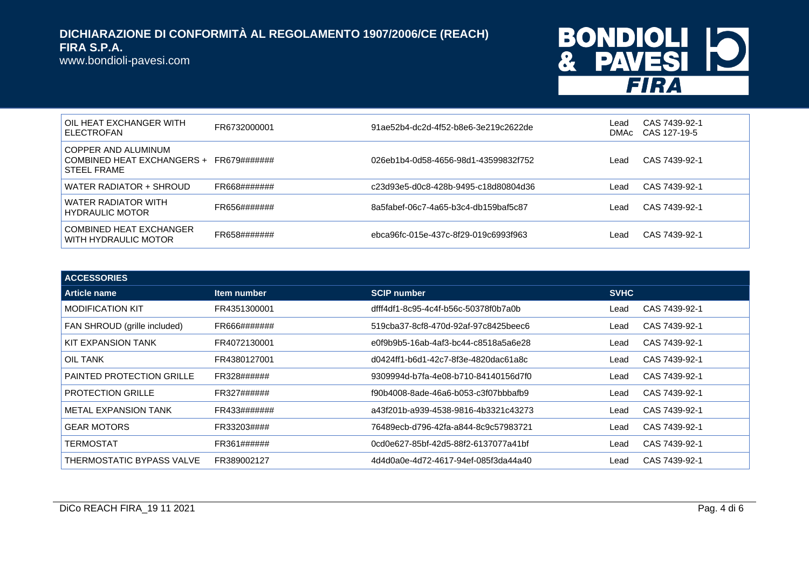www.bondioli-pavesi.com

## BONDIOLI 10 FIRA

| OIL HEAT EXCHANGER WITH<br>ELECTROFAN                              | FR6732000001 | 91ae52b4-dc2d-4f52-b8e6-3e219c2622de | Lead<br>DMAc | CAS 7439-92-1<br>CAS 127-19-5 |
|--------------------------------------------------------------------|--------------|--------------------------------------|--------------|-------------------------------|
| I COPPER AND ALUMINUM<br>COMBINED HEAT EXCHANGERS +<br>STEEL FRAME | FR679####### | 026eb1b4-0d58-4656-98d1-43599832f752 | Lead         | CAS 7439-92-1                 |
| WATER RADIATOR + SHROUD                                            | FR668####### | c23d93e5-d0c8-428b-9495-c18d80804d36 | Lead         | CAS 7439-92-1                 |
| WATER RADIATOR WITH<br><b>HYDRAULIC MOTOR</b>                      | FR656####### | 8a5fabef-06c7-4a65-b3c4-db159baf5c87 | Lead         | CAS 7439-92-1                 |
| COMBINED HEAT EXCHANGER<br>WITH HYDRAULIC MOTOR                    | FR658####### | ebca96fc-015e-437c-8f29-019c6993f963 | Lead         | CAS 7439-92-1                 |

| <b>ACCESSORIES</b>               |              |                                      |             |               |
|----------------------------------|--------------|--------------------------------------|-------------|---------------|
| <b>Article name</b>              | Item number  | <b>SCIP number</b>                   | <b>SVHC</b> |               |
| <b>MODIFICATION KIT</b>          | FR4351300001 | dfff4df1-8c95-4c4f-b56c-50378f0b7a0b | Lead        | CAS 7439-92-1 |
| FAN SHROUD (grille included)     | FR666####### | 519cba37-8cf8-470d-92af-97c8425beec6 | Lead        | CAS 7439-92-1 |
| KIT EXPANSION TANK               | FR4072130001 | e0f9b9b5-16ab-4af3-bc44-c8518a5a6e28 | Lead        | CAS 7439-92-1 |
| OIL TANK                         | FR4380127001 | d0424ff1-b6d1-42c7-8f3e-4820dac61a8c | Lead        | CAS 7439-92-1 |
| <b>PAINTED PROTECTION GRILLE</b> | FR328######  | 9309994d-b7fa-4e08-b710-84140156d7f0 | Lead        | CAS 7439-92-1 |
| <b>PROTECTION GRILLE</b>         | FR327######  | f90b4008-8ade-46a6-b053-c3f07bbbafb9 | Lead        | CAS 7439-92-1 |
| <b>METAL EXPANSION TANK</b>      | FR433####### | a43f201b-a939-4538-9816-4b3321c43273 | Lead        | CAS 7439-92-1 |
| <b>GEAR MOTORS</b>               | FR33203####  | 76489ecb-d796-42fa-a844-8c9c57983721 | Lead        | CAS 7439-92-1 |
| TERMOSTAT                        | FR361######  | 0cd0e627-85bf-42d5-88f2-6137077a41bf | Lead        | CAS 7439-92-1 |
| THERMOSTATIC BYPASS VALVE        | FR389002127  | 4d4d0a0e-4d72-4617-94ef-085f3da44a40 | Lead        | CAS 7439-92-1 |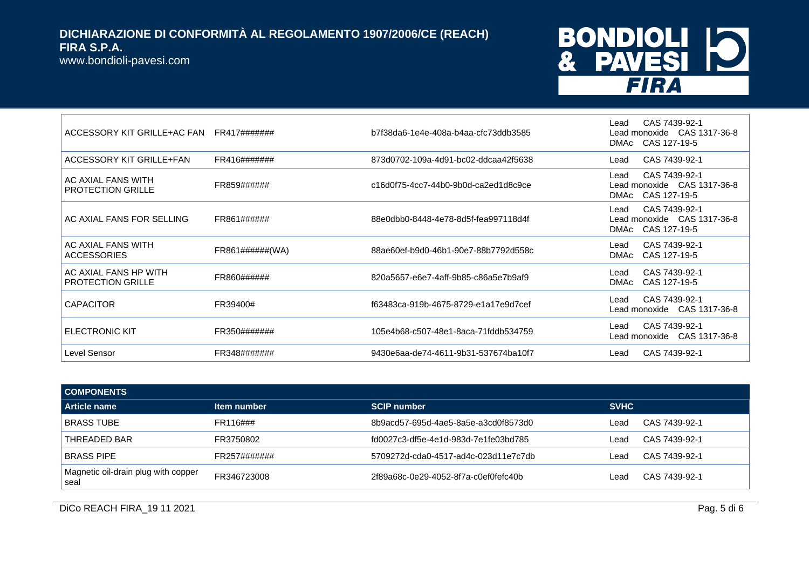www.bondioli-pavesi.com

## **BONDIOLI 10<br>& PAVESI 10 FIRA**

| ACCESSORY KIT GRILLE+AC FAN                       | FR417#######     | b7f38da6-1e4e-408a-b4aa-cfc73ddb3585 | CAS 7439-92-1<br>Lead<br>Lead monoxide  CAS 1317-36-8<br>DMAc CAS 127-19-5 |
|---------------------------------------------------|------------------|--------------------------------------|----------------------------------------------------------------------------|
| ACCESSORY KIT GRILLE+FAN                          | FR416#######     | 873d0702-109a-4d91-bc02-ddcaa42f5638 | CAS 7439-92-1<br>Lead                                                      |
| I AC AXIAL FANS WITH<br><b>PROTECTION GRILLE</b>  | FR859######      | c16d0f75-4cc7-44b0-9b0d-ca2ed1d8c9ce | CAS 7439-92-1<br>Lead<br>Lead monoxide CAS 1317-36-8<br>DMAc CAS 127-19-5  |
| AC AXIAL FANS FOR SELLING                         | FR861######      | 88e0dbb0-8448-4e78-8d5f-fea997118d4f | CAS 7439-92-1<br>Lead<br>Lead monoxide CAS 1317-36-8<br>DMAc CAS 127-19-5  |
| AC AXIAL FANS WITH<br><b>ACCESSORIES</b>          | FR861#######(WA) | 88ae60ef-b9d0-46b1-90e7-88b7792d558c | CAS 7439-92-1<br>Lead<br>CAS 127-19-5<br>DMAc                              |
| AC AXIAL FANS HP WITH<br><b>PROTECTION GRILLE</b> | FR860######      | 820a5657-e6e7-4aff-9b85-c86a5e7b9af9 | CAS 7439-92-1<br>Lead<br>CAS 127-19-5<br><b>DMAc</b>                       |
| <b>CAPACITOR</b>                                  | FR39400#         | f63483ca-919b-4675-8729-e1a17e9d7cef | CAS 7439-92-1<br>Lead<br>Lead monoxide CAS 1317-36-8                       |
| <b>ELECTRONIC KIT</b>                             | FR350#######     | 105e4b68-c507-48e1-8aca-71fddb534759 | CAS 7439-92-1<br>Lead<br>Lead monoxide CAS 1317-36-8                       |
| Level Sensor                                      | FR348#######     | 9430e6aa-de74-4611-9b31-537674ba10f7 | CAS 7439-92-1<br>Lead                                                      |

| <b>COMPONENTS</b>                           |              |                                      |             |               |
|---------------------------------------------|--------------|--------------------------------------|-------------|---------------|
| Article name                                | Item number  | <b>SCIP number</b>                   | <b>SVHC</b> |               |
| <b>BRASS TUBE</b>                           | FR116###     | 8b9acd57-695d-4ae5-8a5e-a3cd0f8573d0 | Lead        | CAS 7439-92-1 |
| THREADED BAR                                | FR3750802    | fd0027c3-df5e-4e1d-983d-7e1fe03bd785 | Lead        | CAS 7439-92-1 |
| <b>BRASS PIPE</b>                           | FR257####### | 5709272d-cda0-4517-ad4c-023d11e7c7db | Lead        | CAS 7439-92-1 |
| Magnetic oil-drain plug with copper<br>seal | FR346723008  | 2f89a68c-0e29-4052-8f7a-c0ef0fefc40b | Lead        | CAS 7439-92-1 |

DICo REACH FIRA\_19 11 2021 Pag. 5 di 6